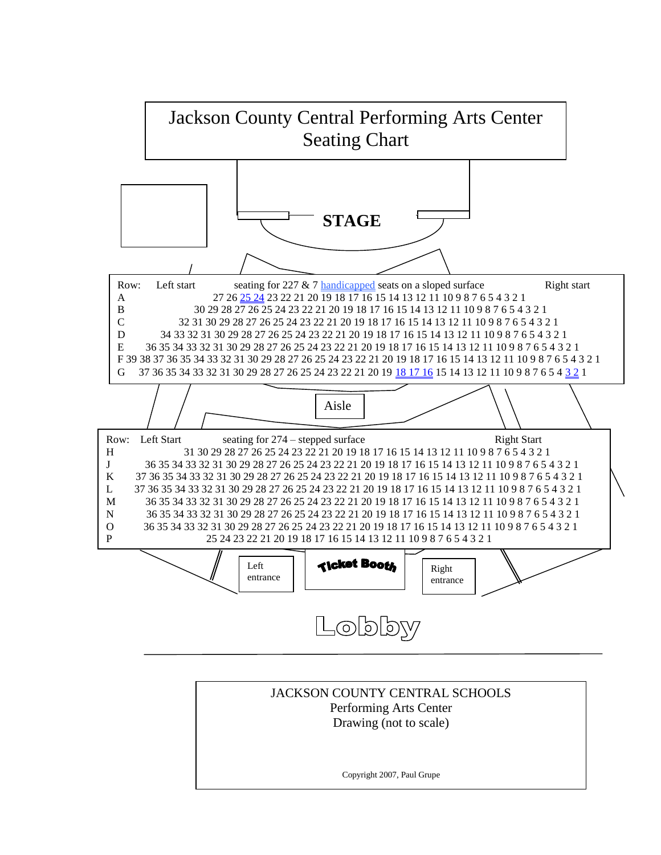

JACKSON COUNTY CENTRAL SCHOOLS Performing Arts Center Drawing (not to scale)

Copyright 2007, Paul Grupe